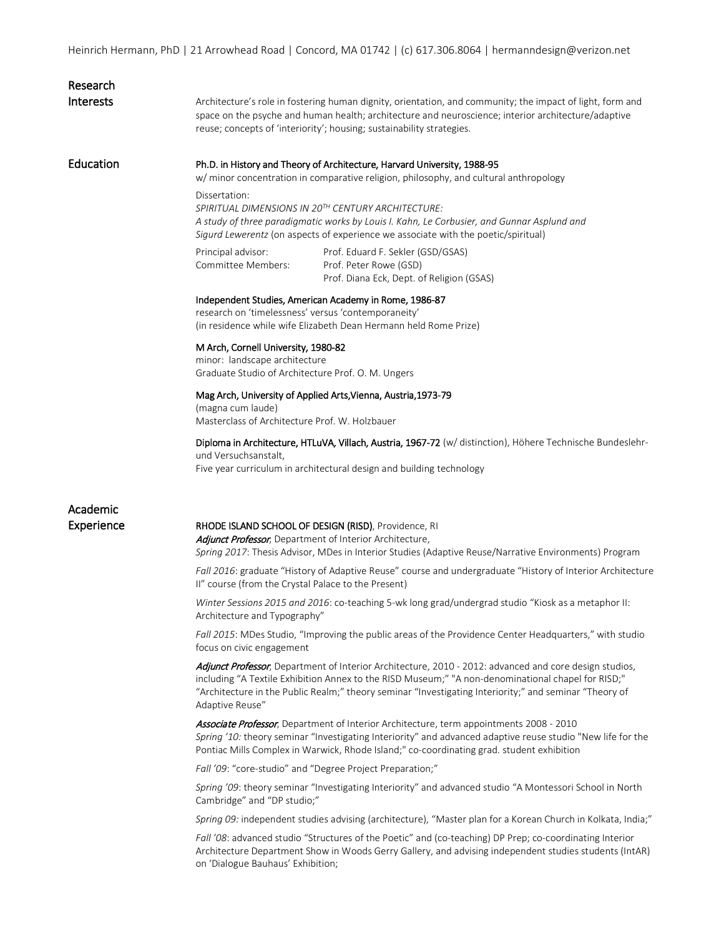Heinrich Hermann, PhD | 21 Arrowhead Road | Concord, MA 01742 | (c) 617.306.8064 | hermanndesign@verizon.net

| Research<br>Interests | Architecture's role in fostering human dignity, orientation, and community; the impact of light, form and<br>space on the psyche and human health; architecture and neuroscience; interior architecture/adaptive<br>reuse; concepts of 'interiority'; housing; sustainability strategies.                                                 |  |
|-----------------------|-------------------------------------------------------------------------------------------------------------------------------------------------------------------------------------------------------------------------------------------------------------------------------------------------------------------------------------------|--|
| Education             | Ph.D. in History and Theory of Architecture, Harvard University, 1988-95<br>w/ minor concentration in comparative religion, philosophy, and cultural anthropology                                                                                                                                                                         |  |
|                       | Dissertation:<br>SPIRITUAL DIMENSIONS IN 20TH CENTURY ARCHITECTURE:<br>A study of three paradigmatic works by Louis I. Kahn, Le Corbusier, and Gunnar Asplund and<br>Sigurd Lewerentz (on aspects of experience we associate with the poetic/spiritual)                                                                                   |  |
|                       | Principal advisor:<br>Prof. Eduard F. Sekler (GSD/GSAS)<br>Committee Members:<br>Prof. Peter Rowe (GSD)<br>Prof. Diana Eck, Dept. of Religion (GSAS)                                                                                                                                                                                      |  |
|                       | Independent Studies, American Academy in Rome, 1986-87<br>research on 'timelessness' versus 'contemporaneity'<br>(in residence while wife Elizabeth Dean Hermann held Rome Prize)                                                                                                                                                         |  |
|                       | M Arch, Cornell University, 1980-82<br>minor: landscape architecture<br>Graduate Studio of Architecture Prof. O. M. Ungers                                                                                                                                                                                                                |  |
|                       | Mag Arch, University of Applied Arts, Vienna, Austria, 1973-79<br>(magna cum laude)<br>Masterclass of Architecture Prof. W. Holzbauer                                                                                                                                                                                                     |  |
|                       | Diploma in Architecture, HTLuVA, Villach, Austria, 1967-72 (w/ distinction), Höhere Technische Bundeslehr-<br>und Versuchsanstalt,<br>Five year curriculum in architectural design and building technology                                                                                                                                |  |
| Academic              |                                                                                                                                                                                                                                                                                                                                           |  |
| Experience            | RHODE ISLAND SCHOOL OF DESIGN (RISD), Providence, RI<br>Adjunct Professor, Department of Interior Architecture,<br>Spring 2017: Thesis Advisor, MDes in Interior Studies (Adaptive Reuse/Narrative Environments) Program                                                                                                                  |  |
|                       | Fall 2016: graduate "History of Adaptive Reuse" course and undergraduate "History of Interior Architecture<br>II" course (from the Crystal Palace to the Present)                                                                                                                                                                         |  |
|                       | Winter Sessions 2015 and 2016: co-teaching 5-wk long grad/undergrad studio "Kiosk as a metaphor II:<br>Architecture and Typography"                                                                                                                                                                                                       |  |
|                       | Fall 2015: MDes Studio, "Improving the public areas of the Providence Center Headquarters," with studio<br>focus on civic engagement                                                                                                                                                                                                      |  |
|                       | Adjunct Professor, Department of Interior Architecture, 2010 - 2012: advanced and core design studios,<br>including "A Textile Exhibition Annex to the RISD Museum;" "A non-denominational chapel for RISD;"<br>"Architecture in the Public Realm;" theory seminar "Investigating Interiority;" and seminar "Theory of<br>Adaptive Reuse" |  |
|                       | Associate Professor, Department of Interior Architecture, term appointments 2008 - 2010<br>Spring '10: theory seminar "Investigating Interiority" and advanced adaptive reuse studio "New life for the<br>Pontiac Mills Complex in Warwick, Rhode Island;" co-coordinating grad. student exhibition                                       |  |
|                       | Fall '09: "core-studio" and "Degree Project Preparation;"                                                                                                                                                                                                                                                                                 |  |
|                       | Spring '09: theory seminar "Investigating Interiority" and advanced studio "A Montessori School in North<br>Cambridge" and "DP studio;"                                                                                                                                                                                                   |  |
|                       | Spring 09: independent studies advising (architecture), "Master plan for a Korean Church in Kolkata, India;"                                                                                                                                                                                                                              |  |
|                       | Fall '08: advanced studio "Structures of the Poetic" and (co-teaching) DP Prep; co-coordinating Interior<br>Architecture Department Show in Woods Gerry Gallery, and advising independent studies students (IntAR)<br>on 'Dialogue Bauhaus' Exhibition;                                                                                   |  |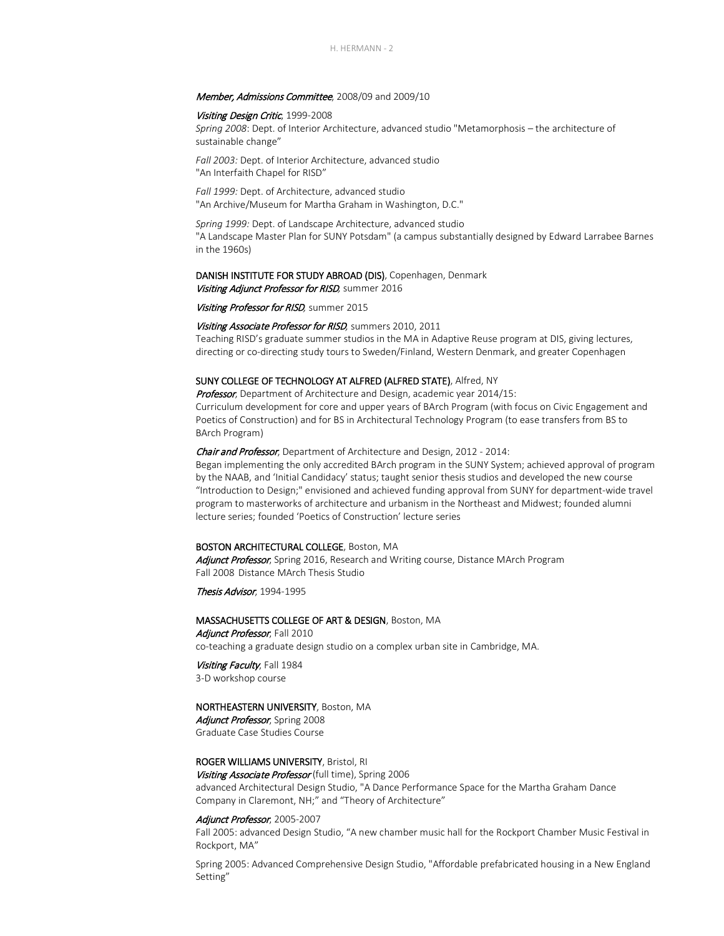## Member, Admissions Committee, 2008/09 and 2009/10

## Visiting Design Critic, 1999-2008

*Spring 2008*: Dept. of Interior Architecture, advanced studio "Metamorphosis – the architecture of sustainable change"

*Fall 2003:* Dept. of Interior Architecture, advanced studio "An Interfaith Chapel for RISD"

*Fall 1999:* Dept. of Architecture, advanced studio "An Archive/Museum for Martha Graham in Washington, D.C."

*Spring 1999:* Dept. of Landscape Architecture, advanced studio "A Landscape Master Plan for SUNY Potsdam" (a campus substantially designed by Edward Larrabee Barnes in the 1960s)

## DANISH INSTITUTE FOR STUDY ABROAD (DIS), Copenhagen, Denmark Visiting Adjunct Professor for RISD*,* summer 2016

Visiting Professor for RISD*,* summer 2015

## Visiting Associate Professor for RISD*,* summers 2010, 2011

Teaching RISD's graduate summer studios in the MA in Adaptive Reuse program at DIS, giving lectures, directing or co-directing study tours to Sweden/Finland, Western Denmark, and greater Copenhagen

## SUNY COLLEGE OF TECHNOLOGY AT ALFRED (ALFRED STATE), Alfred, NY

Professor, Department of Architecture and Design, academic year 2014/15: Curriculum development for core and upper years of BArch Program (with focus on Civic Engagement and

Poetics of Construction) and for BS in Architectural Technology Program (to ease transfers from BS to BArch Program)

## Chair and Professor, Department of Architecture and Design, 2012 - 2014:

Began implementing the only accredited BArch program in the SUNY System; achieved approval of program by the NAAB, and 'Initial Candidacy' status; taught senior thesis studios and developed the new course "Introduction to Design;" envisioned and achieved funding approval from SUNY for department-wide travel program to masterworks of architecture and urbanism in the Northeast and Midwest; founded alumni lecture series; founded 'Poetics of Construction' lecture series

## BOSTON ARCHITECTURAL COLLEGE, Boston, MA

Adjunct Professor, Spring 2016, Research and Writing course, Distance MArch Program Fall 2008 Distance MArch Thesis Studio

Thesis Advisor, 1994-1995

## MASSACHUSETTS COLLEGE OF ART & DESIGN, Boston, MA

Adjunct Professor, Fall 2010 co-teaching a graduate design studio on a complex urban site in Cambridge, MA.

## Visiting Faculty, Fall 1984

3-D workshop course

## NORTHEASTERN UNIVERSITY, Boston, MA

Adjunct Professor, Spring 2008 Graduate Case Studies Course

## ROGER WILLIAMS UNIVERSITY, Bristol, RI

Visiting Associate Professor (full time), Spring 2006 advanced Architectural Design Studio, "A Dance Performance Space for the Martha Graham Dance Company in Claremont, NH;" and "Theory of Architecture"

## Adjunct Professor, 2005-2007

Fall 2005: advanced Design Studio, "A new chamber music hall for the Rockport Chamber Music Festival in Rockport, MA"

Spring 2005: Advanced Comprehensive Design Studio, "Affordable prefabricated housing in a New England Setting"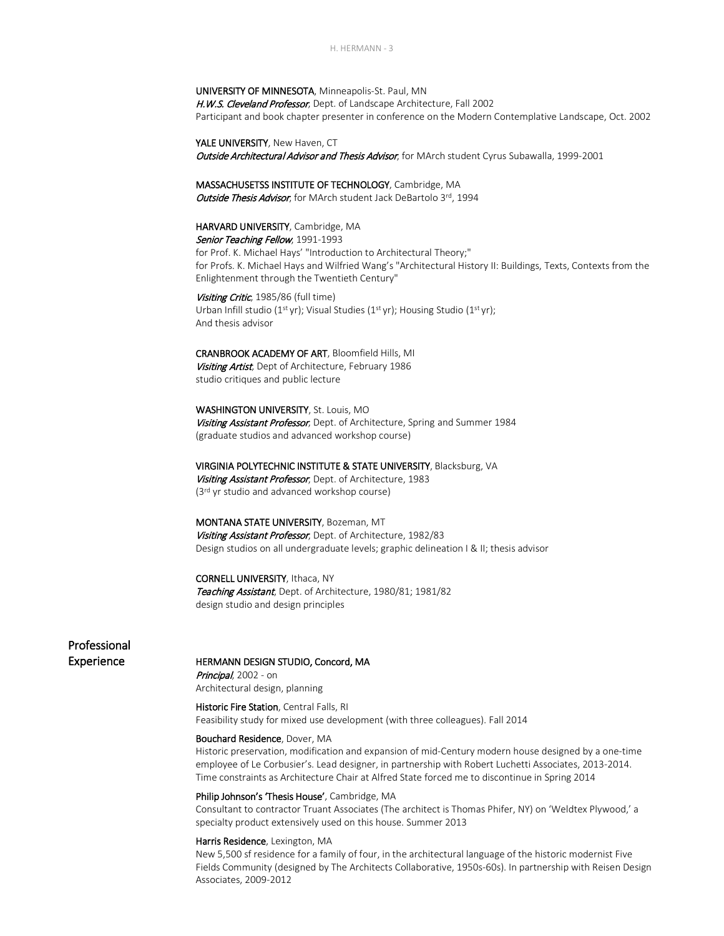UNIVERSITY OF MINNESOTA, Minneapolis-St. Paul, MN H.W.S. Cleveland Professor, Dept. of Landscape Architecture, Fall 2002 Participant and book chapter presenter in conference on the Modern Contemplative Landscape, Oct. 2002

YALE UNIVERSITY, New Haven, CT Outside Architectural Advisor and Thesis Advisor, for MArch student Cyrus Subawalla, 1999-2001

MASSACHUSETSS INSTITUTE OF TECHNOLOGY, Cambridge, MA Outside Thesis Advisor, for MArch student Jack DeBartolo 3rd, 1994

HARVARD UNIVERSITY, Cambridge, MA Senior Teaching Fellow, 1991-1993 for Prof. K. Michael Hays' "Introduction to Architectural Theory;" for Profs. K. Michael Hays and Wilfried Wang's "Architectural History II: Buildings, Texts, Contexts from the Enlightenment through the Twentieth Century"

Visiting Critic, 1985/86 (full time) Urban Infill studio (1<sup>st</sup> yr); Visual Studies (1<sup>st</sup> yr); Housing Studio (1<sup>st</sup> yr); And thesis advisor

CRANBROOK ACADEMY OF ART, Bloomfield Hills, MI Visiting Artist, Dept of Architecture, February 1986 studio critiques and public lecture

WASHINGTON UNIVERSITY, St. Louis, MO Visiting Assistant Professor, Dept. of Architecture, Spring and Summer 1984 (graduate studios and advanced workshop course)

VIRGINIA POLYTECHNIC INSTITUTE & STATE UNIVERSITY, Blacksburg, VA Visiting Assistant Professor, Dept. of Architecture, 1983 (3<sup>rd</sup> yr studio and advanced workshop course)

MONTANA STATE UNIVERSITY, Bozeman, MT Visiting Assistant Professor, Dept. of Architecture, 1982/83 Design studios on all undergraduate levels; graphic delineation I & II; thesis advisor

CORNELL UNIVERSITY, Ithaca, NY Teaching Assistant, Dept. of Architecture, 1980/81; 1981/82 design studio and design principles

# Professional

## Experience **HERMANN DESIGN STUDIO, Concord, MA**

Principal, 2002 - on Architectural design, planning

Historic Fire Station, Central Falls, RI Feasibility study for mixed use development (with three colleagues). Fall 2014

## Bouchard Residence, Dover, MA

Historic preservation, modification and expansion of mid-Century modern house designed by a one-time employee of Le Corbusier's. Lead designer, in partnership with Robert Luchetti Associates, 2013-2014. Time constraints as Architecture Chair at Alfred State forced me to discontinue in Spring 2014

## Philip Johnson's 'Thesis House', Cambridge, MA

Consultant to contractor Truant Associates (The architect is Thomas Phifer, NY) on 'Weldtex Plywood,' a specialty product extensively used on this house. Summer 2013

## Harris Residence, Lexington, MA

New 5,500 sf residence for a family of four, in the architectural language of the historic modernist Five Fields Community (designed by The Architects Collaborative, 1950s-60s). In partnership with Reisen Design Associates, 2009-2012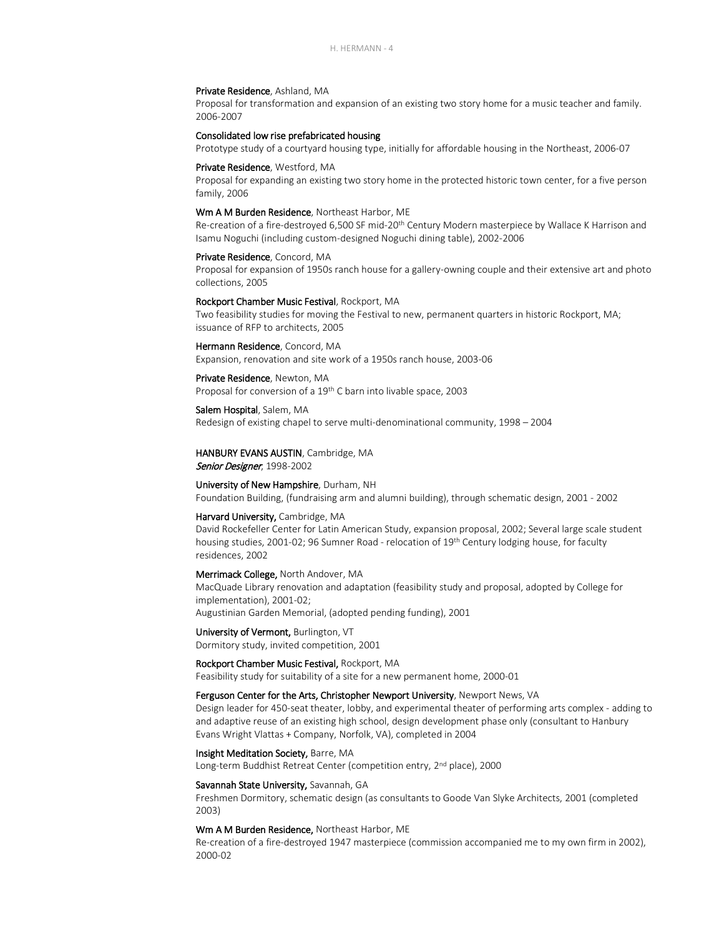## Private Residence, Ashland, MA

Proposal for transformation and expansion of an existing two story home for a music teacher and family. 2006-2007

## Consolidated low rise prefabricated housing

Prototype study of a courtyard housing type, initially for affordable housing in the Northeast, 2006-07

#### Private Residence, Westford, MA

Proposal for expanding an existing two story home in the protected historic town center, for a five person family, 2006

## Wm A M Burden Residence, Northeast Harbor, ME

Re-creation of a fire-destroyed 6,500 SF mid-20th Century Modern masterpiece by Wallace K Harrison and Isamu Noguchi (including custom-designed Noguchi dining table), 2002-2006

### Private Residence, Concord, MA

Proposal for expansion of 1950s ranch house for a gallery-owning couple and their extensive art and photo collections, 2005

### Rockport Chamber Music Festival, Rockport, MA

Two feasibility studies for moving the Festival to new, permanent quarters in historic Rockport, MA; issuance of RFP to architects, 2005

## Hermann Residence, Concord, MA

Expansion, renovation and site work of a 1950s ranch house, 2003-06

## Private Residence, Newton, MA

Proposal for conversion of a 19<sup>th</sup> C barn into livable space, 2003

## Salem Hospital, Salem, MA

Redesign of existing chapel to serve multi-denominational community, 1998 – 2004

## HANBURY EVANS AUSTIN, Cambridge, MA

Senior Designer, 1998-2002

#### University of New Hampshire, Durham, NH

Foundation Building, (fundraising arm and alumni building), through schematic design, 2001 - 2002

#### Harvard University, Cambridge, MA

David Rockefeller Center for Latin American Study, expansion proposal, 2002; Several large scale student housing studies, 2001-02; 96 Sumner Road - relocation of 19<sup>th</sup> Century lodging house, for faculty residences, 2002

## Merrimack College, North Andover, MA

MacQuade Library renovation and adaptation (feasibility study and proposal, adopted by College for implementation), 2001-02;

Augustinian Garden Memorial, (adopted pending funding), 2001

## University of Vermont, Burlington, VT

Dormitory study, invited competition, 2001

## Rockport Chamber Music Festival, Rockport, MA

Feasibility study for suitability of a site for a new permanent home, 2000-01

## Ferguson Center for the Arts, Christopher Newport University, Newport News, VA

Design leader for 450-seat theater, lobby, and experimental theater of performing arts complex - adding to and adaptive reuse of an existing high school, design development phase only (consultant to Hanbury Evans Wright Vlattas + Company, Norfolk, VA), completed in 2004

## Insight Meditation Society, Barre, MA

Long-term Buddhist Retreat Center (competition entry, 2<sup>nd</sup> place), 2000

## Savannah State University, Savannah, GA

Freshmen Dormitory, schematic design (as consultants to Goode Van Slyke Architects, 2001 (completed 2003)

## Wm A M Burden Residence, Northeast Harbor, ME

Re-creation of a fire-destroyed 1947 masterpiece (commission accompanied me to my own firm in 2002), 2000-02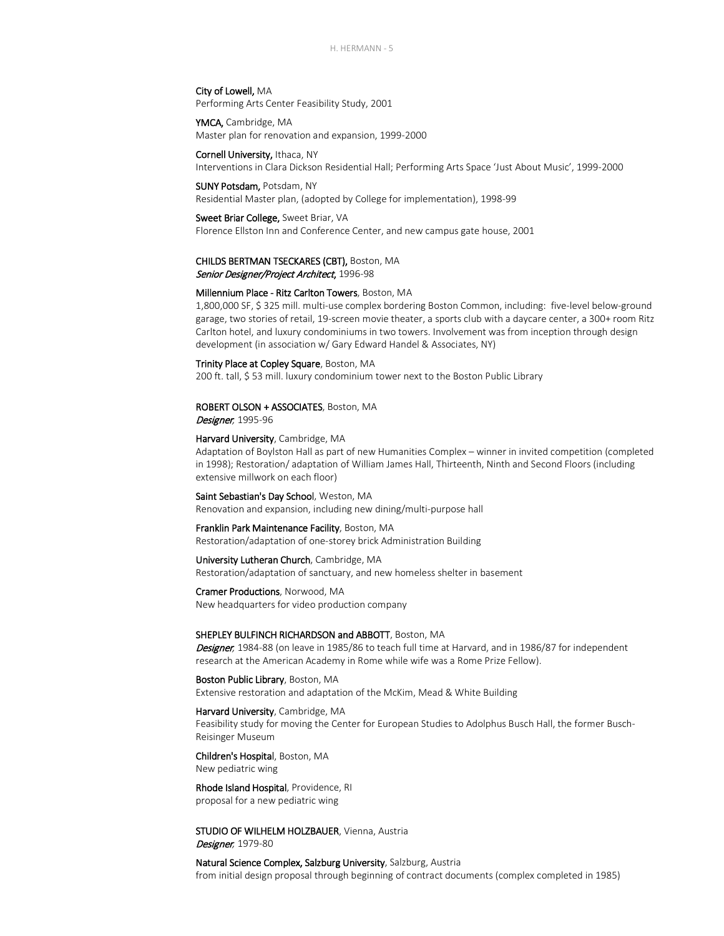H. HERMANN - 5

## City of Lowell, MA

Performing Arts Center Feasibility Study, 2001

YMCA, Cambridge, MA Master plan for renovation and expansion, 1999-2000

Cornell University, Ithaca, NY Interventions in Clara Dickson Residential Hall; Performing Arts Space 'Just About Music', 1999-2000

SUNY Potsdam, Potsdam, NY

Residential Master plan, (adopted by College for implementation), 1998-99

## Sweet Briar College, Sweet Briar, VA

Florence Ellston Inn and Conference Center, and new campus gate house, 2001

## CHILDS BERTMAN TSECKARES (CBT), Boston, MA

Senior Designer/Project Architect, 1996-98

## Millennium Place - Ritz Carlton Towers, Boston, MA

1,800,000 SF, \$ 325 mill. multi-use complex bordering Boston Common, including: five-level below-ground garage, two stories of retail, 19-screen movie theater, a sports club with a daycare center, a 300+ room Ritz Carlton hotel, and luxury condominiums in two towers. Involvement was from inception through design development (in association w/ Gary Edward Handel & Associates, NY)

## Trinity Place at Copley Square, Boston, MA

200 ft. tall, \$ 53 mill. luxury condominium tower next to the Boston Public Library

## ROBERT OLSON + ASSOCIATES, Boston, MA

Designer*,* 1995-96

## Harvard University, Cambridge, MA

Adaptation of Boylston Hall as part of new Humanities Complex – winner in invited competition (completed in 1998); Restoration/ adaptation of William James Hall, Thirteenth, Ninth and Second Floors (including extensive millwork on each floor)

Saint Sebastian's Day School, Weston, MA Renovation and expansion, including new dining/multi-purpose hall

## Franklin Park Maintenance Facility, Boston, MA

Restoration/adaptation of one-storey brick Administration Building

## University Lutheran Church, Cambridge, MA

Restoration/adaptation of sanctuary, and new homeless shelter in basement

## Cramer Productions, Norwood, MA

New headquarters for video production company

## SHEPLEY BULFINCH RICHARDSON and ABBOTT, Boston, MA

Designer*,* 1984-88 (on leave in 1985/86 to teach full time at Harvard, and in 1986/87 for independent research at the American Academy in Rome while wife was a Rome Prize Fellow).

Boston Public Library, Boston, MA Extensive restoration and adaptation of the McKim, Mead & White Building

## Harvard University, Cambridge, MA

Feasibility study for moving the Center for European Studies to Adolphus Busch Hall, the former Busch-Reisinger Museum

### Children's Hospital, Boston, MA

New pediatric wing

## Rhode Island Hospital, Providence, RI proposal for a new pediatric wing

## STUDIO OF WILHELM HOLZBAUER, Vienna, Austria

Designer*,* 1979-80

Natural Science Complex, Salzburg University, Salzburg, Austria from initial design proposal through beginning of contract documents (complex completed in 1985)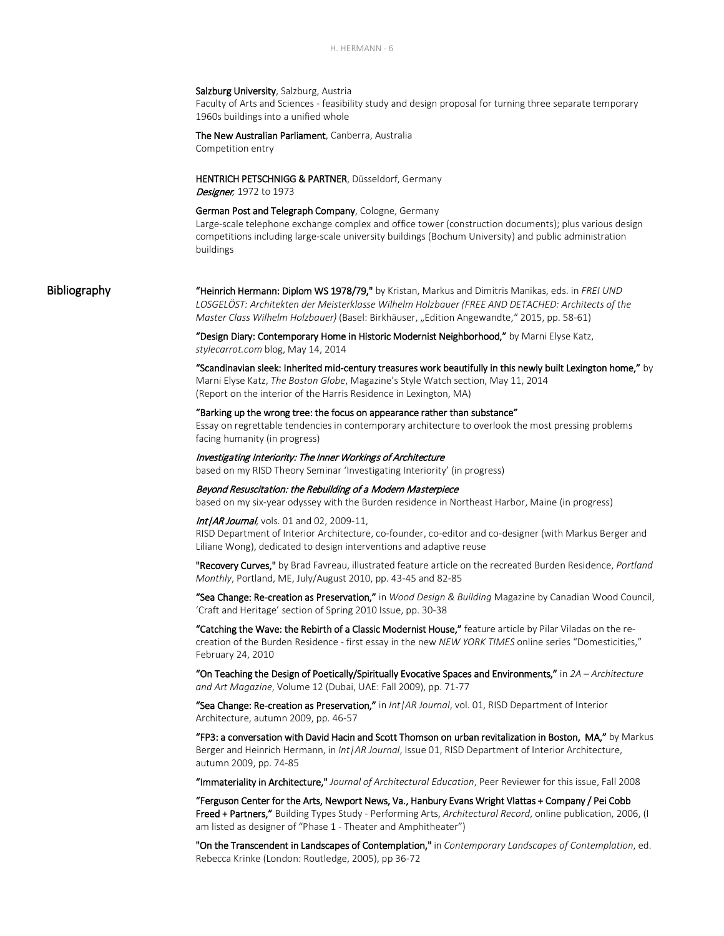## Salzburg University, Salzburg, Austria

Faculty of Arts and Sciences - feasibility study and design proposal for turning three separate temporary 1960s buildings into a unified whole

## The New Australian Parliament, Canberra, Australia

Competition entry

## HENTRICH PETSCHNIGG & PARTNER, Düsseldorf, Germany Designer*,* 1972 to 1973

German Post and Telegraph Company, Cologne, Germany

Large-scale telephone exchange complex and office tower (construction documents); plus various design competitions including large-scale university buildings (Bochum University) and public administration buildings

Bibliography "Heinrich Hermann: Diplom WS 1978/79," by Kristan, Markus and Dimitris Manikas, eds. in *FREI UND LOSGELÖST: Architekten der Meisterklasse Wilhelm Holzbauer (FREE AND DETACHED: Architects of the Master Class Wilhelm Holzbauer)* (Basel: Birkhäuser, "Edition Angewandte," 2015, pp. 58-61)

> ["Design Diary: Contemporary Home in Historic Modernist Neighborhood,"](http://stylecarrot.com/2014/05/14/design-diary-contemporary-home-historic-modernist-neighborhood/) by Marni Elyse Katz, *stylecarrot.com* blog, May 14, 2014

 "Scandinavian sleek: Inherited mid-century treasures work beautifully in this newly built Lexington home," by Marni Elyse Katz, *The Boston Globe*, Magazine's Style Watch section, May 11, 2014 (Report on the interior of the Harris Residence in Lexington, MA)

"Barking up the wrong tree: the focus on appearance rather than substance" Essay on regrettable tendencies in contemporary architecture to overlook the most pressing problems facing humanity (in progress)

Investigating Interiority: The Inner Workings of Architecture based on my RISD Theory Seminar 'Investigating Interiority' (in progress)

Beyond Resuscitation: the Rebuilding of a Modern Masterpiece based on my six-year odyssey with the Burden residence in Northeast Harbor, Maine (in progress)

Int/AR Journal, vols. 01 and 02, 2009-11, RISD Department of Interior Architecture, co-founder, co-editor and co-designer (with Markus Berger and Liliane Wong), dedicated to design interventions and adaptive reuse

"Recovery Curves," by Brad Favreau, illustrated feature article on the recreated Burden Residence, *Portland Monthly*, Portland, ME, July/August 2010, pp. 43-45 and 82-85

"Sea Change: Re-creation as Preservation," in *Wood Design & Building* Magazine by Canadian Wood Council, 'Craft and Heritage' section of Spring 2010 Issue, pp. 30-38

"Catching the Wave: the Rebirth of a Classic Modernist House," feature article by Pilar Viladas on the recreation of the Burden Residence - first essay in the new *NEW YORK TIMES* online series "Domesticities," February 24, 2010

"On Teaching the Design of Poetically/Spiritually Evocative Spaces and Environments," in *2A – Architecture and Art Magazine*, Volume 12 (Dubai, UAE: Fall 2009), pp. 71-77

"Sea Change: Re-creation as Preservation," in *Int|AR Journal*, vol. 01, RISD Department of Interior Architecture, autumn 2009, pp. 46-57

"FP3: a conversation with David Hacin and Scott Thomson on urban revitalization in Boston, MA," by Markus Berger and Heinrich Hermann, in *Int|AR Journal*, Issue 01, RISD Department of Interior Architecture, autumn 2009, pp. 74-85

"Immateriality in Architecture," *Journal of Architectural Education*, Peer Reviewer for this issue, Fall 2008

"Ferguson Center for the Arts, Newport News, Va., Hanbury Evans Wright Vlattas + Company / Pei Cobb Freed + Partners," Building Types Study - [Performing Arts,](http://archrecord.construction.com/projects/BTS/archives/perform/default.asp) *Architectural Record*, online publication, 2006, (I am listed as designer of "Phase 1 - Theater and Amphitheater")

"On the Transcendent in Landscapes of Contemplation," in *Contemporary Landscapes of Contemplation*, ed. Rebecca Krinke (London: Routledge, 2005), pp 36-72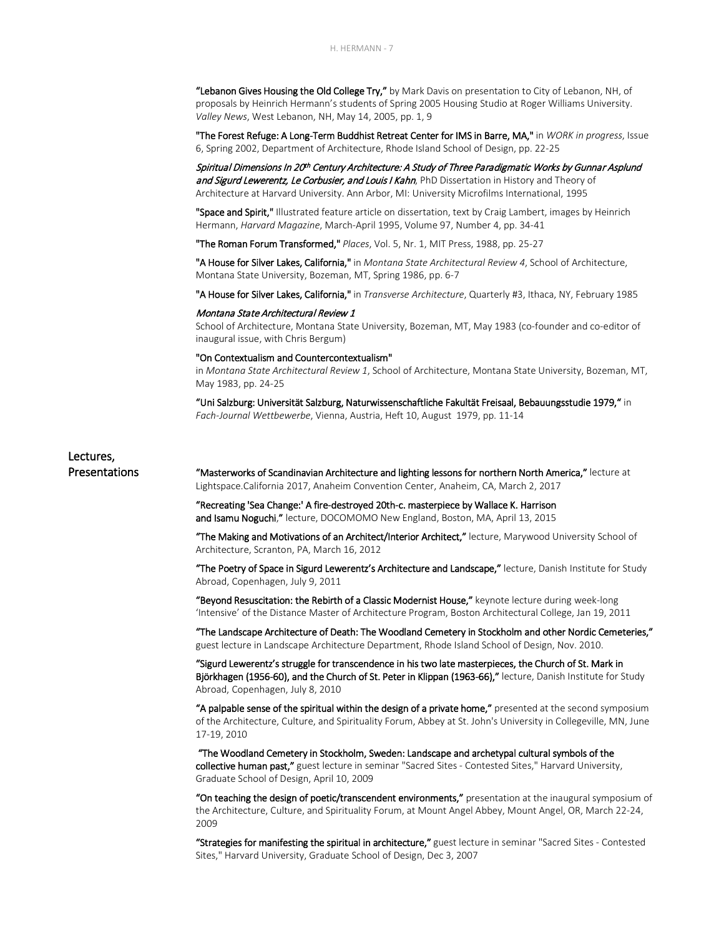"Lebanon Gives Housing the Old College Try," by Mark Davis on presentation to City of Lebanon, NH, of proposals by Heinrich Hermann's students of Spring 2005 Housing Studio at Roger Williams University. *Valley News*, West Lebanon, NH, May 14, 2005, pp. 1, 9

"The Forest Refuge: A Long-Term Buddhist Retreat Center for IMS in Barre, MA," in *WORK in progress*, Issue 6, Spring 2002, Department of Architecture, Rhode Island School of Design, pp. 22-25

Spiritual Dimensions In 20th Century Architecture: A Study of Three Paradigmatic Works by Gunnar Asplund and Sigurd Lewerentz, Le Corbusier, and Louis I Kahn, PhD Dissertation in History and Theory of Architecture at Harvard University. Ann Arbor, MI: University Microfilms International, 1995

"Space and Spirit," Illustrated feature article on dissertation, text by Craig Lambert, images by Heinrich Hermann, *Harvard Magazine*, March-April 1995, Volume 97, Number 4, pp. 34-41

"The Roman Forum Transformed," *Places*, Vol. 5, Nr. 1, MIT Press, 1988, pp. 25-27

"A House for Silver Lakes, California," in *Montana State Architectural Review 4*, School of Architecture, Montana State University, Bozeman, MT, Spring 1986, pp. 6-7

"A House for Silver Lakes, California," in *Transverse Architecture*, Quarterly #3, Ithaca, NY, February 1985

## Montana State Architectural Review 1

School of Architecture, Montana State University, Bozeman, MT, May 1983 (co-founder and co-editor of inaugural issue, with Chris Bergum)

### "On Contextualism and Countercontextualism"

in *Montana State Architectural Review 1*, School of Architecture, Montana State University, Bozeman, MT, May 1983, pp. 24-25

"Uni Salzburg: Universität Salzburg, Naturwissenschaftliche Fakultät Freisaal, Bebauungsstudie 1979," in *Fach-Journal Wettbewerbe*, Vienna, Austria, Heft 10, August 1979, pp. 11-14

## Lectures,

Presentations "Masterworks of Scandinavian Architecture and lighting lessons for northern North America," lecture at Lightspace.California 2017, Anaheim Convention Center, Anaheim, CA, March 2, 2017

> "Recreating 'Sea Change:' A fire-destroyed 20th-c. masterpiece by Wallace K. Harrison and Isamu Noguchi," lecture, DOCOMOMO New England, Boston, MA, April 13, 2015

 "The Making and Motivations of an Architect/Interior Architect," lecture, Marywood University School of Architecture, Scranton, PA, March 16, 2012

"The Poetry of Space in Sigurd Lewerentz's Architecture and Landscape," lecture, Danish Institute for Study Abroad, Copenhagen, July 9, 2011

"Beyond Resuscitation: the Rebirth of a Classic Modernist House," keynote lecture during week-long 'Intensive' of the Distance Master of Architecture Program, Boston Architectural College, Jan 19, 2011

"The Landscape Architecture of Death: The Woodland Cemetery in Stockholm and other Nordic Cemeteries," guest lecture in Landscape Architecture Department, Rhode Island School of Design, Nov. 2010.

"Sigurd Lewerentz's struggle for transcendence in his two late masterpieces, the Church of St. Mark in Björkhagen (1956-60), and the Church of St. Peter in Klippan (1963-66)," lecture, Danish Institute for Study Abroad, Copenhagen, July 8, 2010

"A palpable sense of the spiritual within the design of a private home," presented at the second symposium of the Architecture, Culture, and Spirituality Forum, Abbey at St. John's University in Collegeville, MN, June 17-19, 2010

 "The Woodland Cemetery in Stockholm, Sweden: Landscape and archetypal cultural symbols of the collective human past," guest lecture in seminar "Sacred Sites - [Contested Sites,"](http://www.gsd.harvard.edu/cgi-bin/courses/details.cgi?section_id=9600&term=f2007) Harvard University, Graduate School of Design, April 10, 2009

"On teaching the design of poetic/transcendent environments," presentation at the inaugural symposium of the Architecture, Culture, and Spirituality Forum, at Mount Angel Abbey, Mount Angel, OR, March 22-24, 2009

"Strategies for manifesting the spiritual in architecture," guest lecture in seminar ["Sacred Sites -](http://www.gsd.harvard.edu/cgi-bin/courses/details.cgi?section_id=9600&term=f2007) Contested [Sites,"](http://www.gsd.harvard.edu/cgi-bin/courses/details.cgi?section_id=9600&term=f2007) Harvard University, Graduate School of Design, Dec 3, 2007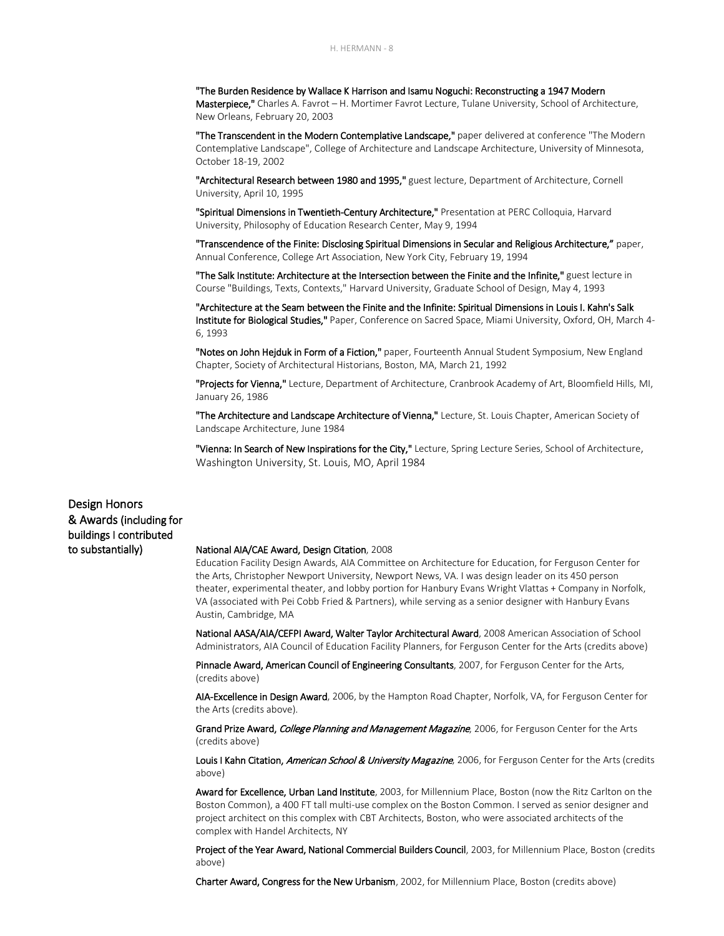"The Burden Residence by Wallace K Harrison and Isamu Noguchi: Reconstructing a 1947 Modern Masterpiece," Charles A. Favrot - H. Mortimer Favrot Lecture, Tulane University, School of Architecture, New Orleans, February 20, 2003

"The Transcendent in the Modern Contemplative Landscape," paper delivered at conference "The Modern Contemplative Landscape", College of Architecture and Landscape Architecture, University of Minnesota, October 18-19, 2002

"Architectural Research between 1980 and 1995," guest lecture, Department of Architecture, Cornell University, April 10, 1995

"Spiritual Dimensions in Twentieth-Century Architecture," Presentation at PERC Colloquia, Harvard University, Philosophy of Education Research Center, May 9, 1994

"Transcendence of the Finite: Disclosing Spiritual Dimensions in Secular and Religious Architecture," paper, Annual Conference, College Art Association, New York City, February 19, 1994

"The Salk Institute: Architecture at the Intersection between the Finite and the Infinite," guest lecture in Course "Buildings, Texts, Contexts," Harvard University, Graduate School of Design, May 4, 1993

"Architecture at the Seam between the Finite and the Infinite: Spiritual Dimensions in Louis I. Kahn's Salk Institute for Biological Studies," Paper, Conference on Sacred Space, Miami University, Oxford, OH, March 4- 6, 1993

"Notes on John Hejduk in Form of a Fiction," paper, Fourteenth Annual Student Symposium, New England Chapter, Society of Architectural Historians, Boston, MA, March 21, 1992

"Projects for Vienna," Lecture, Department of Architecture, Cranbrook Academy of Art, Bloomfield Hills, MI, January 26, 1986

"The Architecture and Landscape Architecture of Vienna," Lecture, St. Louis Chapter, American Society of Landscape Architecture, June 1984

"Vienna: In Search of New Inspirations for the City," Lecture, Spring Lecture Series, School of Architecture, Washington University, St. Louis, MO, April 1984

Design Honors & Awards (including for buildings I contributed

## to substantially) National AIA/CAE Award, Design Citation, 2008

Education Facility Design Awards, AIA Committee on Architecture for Education, for Ferguson Center for the Arts, Christopher Newport University, Newport News, VA. I was design leader on its 450 person theater, experimental theater, and lobby portion for Hanbury Evans Wright Vlattas + Company in Norfolk, VA (associated with Pei Cobb Fried & Partners), while serving as a senior designer with Hanbury Evans Austin, Cambridge, MA

National AASA/AIA/CEFPI Award, Walter Taylor Architectural Award, 2008 American Association of School Administrators, AIA Council of Education Facility Planners, for Ferguson Center for the Arts (credits above)

Pinnacle Award, American Council of Engineering Consultants, 2007, for Ferguson Center for the Arts, (credits above)

AIA-Excellence in Design Award, 2006, by the Hampton Road Chapter, Norfolk, VA, for Ferguson Center for the Arts (credits above).

Grand Prize Award, College Planning and Management Magazine, 2006, for Ferguson Center for the Arts (credits above)

Louis I Kahn Citation, American School & University Magazine, 2006, for Ferguson Center for the Arts (credits above)

Award for Excellence, Urban Land Institute, 2003, for Millennium Place, Boston (now the Ritz Carlton on the Boston Common), a 400 FT tall multi-use complex on the Boston Common. I served as senior designer and project architect on this complex with CBT Architects, Boston, who were associated architects of the complex with Handel Architects, NY

Project of the Year Award, National Commercial Builders Council, 2003, for Millennium Place, Boston (credits above)

Charter Award, Congress for the New Urbanism, 2002, for Millennium Place, Boston (credits above)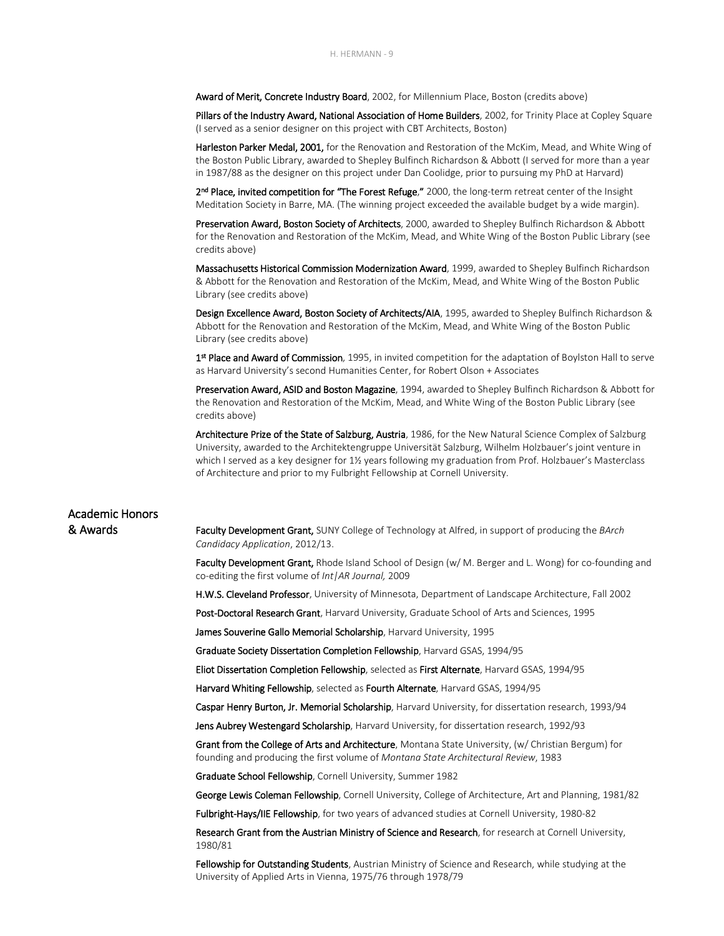Award of Merit, Concrete Industry Board, 2002, for Millennium Place, Boston (credits above)

Pillars of the Industry Award, National Association of Home Builders, 2002, for Trinity Place at Copley Square (I served as a senior designer on this project with CBT Architects, Boston)

Harleston Parker Medal, 2001, for the Renovation and Restoration of the McKim, Mead, and White Wing of the Boston Public Library, awarded to Shepley Bulfinch Richardson & Abbott (I served for more than a year in 1987/88 as the designer on this project under Dan Coolidge, prior to pursuing my PhD at Harvard)

2<sup>nd</sup> Place, invited competition for "The Forest Refuge," 2000, the long-term retreat center of the Insight Meditation Society in Barre, MA. (The winning project exceeded the available budget by a wide margin).

Preservation Award, Boston Society of Architects, 2000, awarded to Shepley Bulfinch Richardson & Abbott for the Renovation and Restoration of the McKim, Mead, and White Wing of the Boston Public Library (see credits above)

Massachusetts Historical Commission Modernization Award, 1999, awarded to Shepley Bulfinch Richardson & Abbott for the Renovation and Restoration of the McKim, Mead, and White Wing of the Boston Public Library (see credits above)

Design Excellence Award, Boston Society of Architects/AIA, 1995, awarded to Shepley Bulfinch Richardson & Abbott for the Renovation and Restoration of the McKim, Mead, and White Wing of the Boston Public Library (see credits above)

1<sup>st</sup> Place and Award of Commission, 1995, in invited competition for the adaptation of Boylston Hall to serve as Harvard University's second Humanities Center, for Robert Olson + Associates

Preservation Award, ASID and Boston Magazine, 1994, awarded to Shepley Bulfinch Richardson & Abbott for the Renovation and Restoration of the McKim, Mead, and White Wing of the Boston Public Library (see credits above)

Architecture Prize of the State of Salzburg, Austria, 1986, for the New Natural Science Complex of Salzburg University, awarded to the Architektengruppe Universität Salzburg, Wilhelm Holzbauer's joint venture in which I served as a key designer for 1½ years following my graduation from Prof. Holzbauer's Masterclass of Architecture and prior to my Fulbright Fellowship at Cornell University.

## Academic Honors

& Awards Faculty Development Grant, SUNY College of Technology at Alfred, in support of producing the *BArch Candidacy Application*, 2012/13.

> Faculty Development Grant, Rhode Island School of Design (w/M. Berger and L. Wong) for co-founding and co-editing the first volume of *Int|AR Journal,* 2009

H.W.S. Cleveland Professor, University of Minnesota, Department of Landscape Architecture, Fall 2002

Post-Doctoral Research Grant, Harvard University, Graduate School of Arts and Sciences, 1995

James Souverine Gallo Memorial Scholarship, Harvard University, 1995

Graduate Society Dissertation Completion Fellowship, Harvard GSAS, 1994/95

Eliot Dissertation Completion Fellowship, selected as First Alternate, Harvard GSAS, 1994/95

Harvard Whiting Fellowship, selected as Fourth Alternate, Harvard GSAS, 1994/95

Caspar Henry Burton, Jr. Memorial Scholarship, Harvard University, for dissertation research, 1993/94

Jens Aubrey Westengard Scholarship, Harvard University, for dissertation research, 1992/93

Grant from the College of Arts and Architecture, Montana State University, (w/ Christian Bergum) for founding and producing the first volume of *Montana State Architectural Review*, 1983

Graduate School Fellowship, Cornell University, Summer 1982

George Lewis Coleman Fellowship, Cornell University, College of Architecture, Art and Planning, 1981/82

Fulbright-Hays/IIE Fellowship, for two years of advanced studies at Cornell University, 1980-82

Research Grant from the Austrian Ministry of Science and Research, for research at Cornell University, 1980/81

Fellowship for Outstanding Students, Austrian Ministry of Science and Research, while studying at the University of Applied Arts in Vienna, 1975/76 through 1978/79